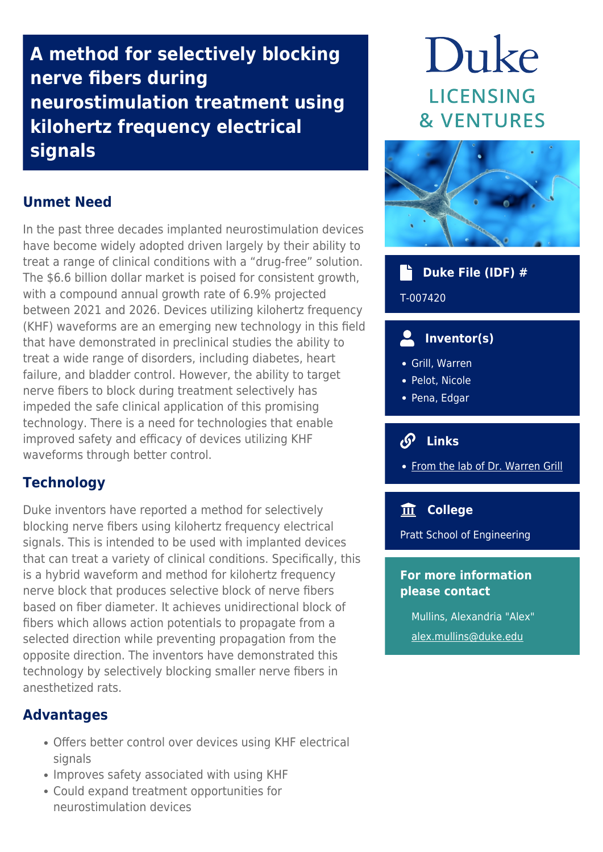# **A method for selectively blocking nerve fibers during neurostimulation treatment using kilohertz frequency electrical signals**

#### **Unmet Need**

In the past three decades implanted neurostimulation devices have become widely adopted driven largely by their ability to treat a range of clinical conditions with a "drug-free" solution. The \$6.6 billion dollar market is poised for consistent growth, with a compound annual growth rate of 6.9% projected between 2021 and 2026. Devices utilizing kilohertz frequency (KHF) waveforms are an emerging new technology in this field that have demonstrated in preclinical studies the ability to treat a wide range of disorders, including diabetes, heart failure, and bladder control. However, the ability to target nerve fibers to block during treatment selectively has impeded the safe clinical application of this promising technology. There is a need for technologies that enable improved safety and efficacy of devices utilizing KHF waveforms through better control.

### **Technology**

Duke inventors have reported a method for selectively blocking nerve fibers using kilohertz frequency electrical signals. This is intended to be used with implanted devices that can treat a variety of clinical conditions. Specifically, this is a hybrid waveform and method for kilohertz frequency nerve block that produces selective block of nerve fibers based on fiber diameter. It achieves unidirectional block of fibers which allows action potentials to propagate from a selected direction while preventing propagation from the opposite direction. The inventors have demonstrated this technology by selectively blocking smaller nerve fibers in anesthetized rats.

#### **Advantages**

- Offers better control over devices using KHF electrical signals
- Improves safety associated with using KHF
- Could expand treatment opportunities for neurostimulation devices

# Duke **LICENSING & VENTURES**



## **Duke File (IDF) #** T-007420

#### **Inventor(s)**

- Grill, Warren
- Pelot, Nicole
- Pena, Edgar

#### **Links**

[From the lab of Dr. Warren Grill](http://grill-lab.pratt.duke.edu/)

#### **College**

Pratt School of Engineering

#### **For more information please contact**

Mullins, Alexandria "Alex" [alex.mullins@duke.edu](mailto:alex.mullins@duke.edu)